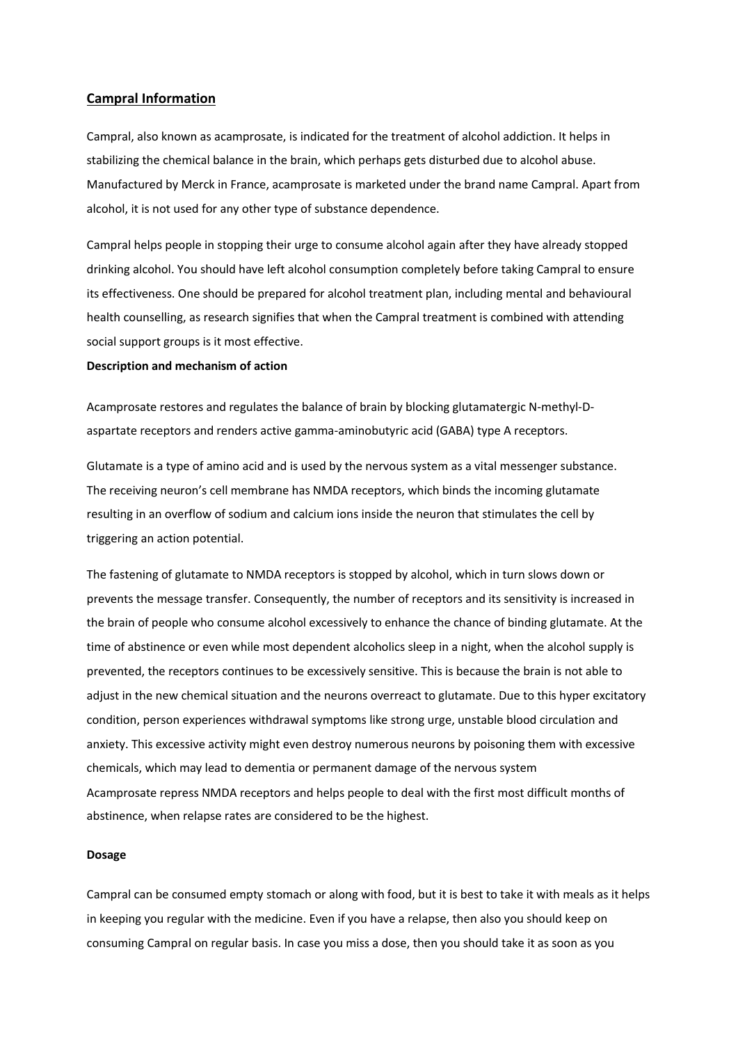# **Campral Information**

Campral, also known as acamprosate, is indicated for the treatment of alcohol addiction. It helps in stabilizing the chemical balance in the brain, which perhaps gets disturbed due to alcohol abuse. Manufactured by Merck in France, acamprosate is marketed under the brand name Campral. Apart from alcohol, it is not used for any other type of substance dependence.

Campral helps people in stopping their urge to consume alcohol again after they have already stopped drinking alcohol. You should have left alcohol consumption completely before taking Campral to ensure its effectiveness. One should be prepared for alcohol treatment plan, including mental and behavioural health counselling, as research signifies that when the Campral treatment is combined with attending social support groups is it most effective.

#### **Description and mechanism of action**

Acamprosate restores and regulates the balance of brain by blocking glutamatergic N-methyl-Daspartate receptors and renders active gamma-aminobutyric acid (GABA) type A receptors.

Glutamate is a type of amino acid and is used by the nervous system as a vital messenger substance. The receiving neuron's cell membrane has NMDA receptors, which binds the incoming glutamate resulting in an overflow of sodium and calcium ions inside the neuron that stimulates the cell by triggering an action potential.

The fastening of glutamate to NMDA receptors is stopped by alcohol, which in turn slows down or prevents the message transfer. Consequently, the number of receptors and its sensitivity is increased in the brain of people who consume alcohol excessively to enhance the chance of binding glutamate. At the time of abstinence or even while most dependent alcoholics sleep in a night, when the alcohol supply is prevented, the receptors continues to be excessively sensitive. This is because the brain is not able to adjust in the new chemical situation and the neurons overreact to glutamate. Due to this hyper excitatory condition, person experiences withdrawal symptoms like strong urge, unstable blood circulation and anxiety. This excessive activity might even destroy numerous neurons by poisoning them with excessive chemicals, which may lead to dementia or permanent damage of the nervous system Acamprosate repress NMDA receptors and helps people to deal with the first most difficult months of abstinence, when relapse rates are considered to be the highest.

#### **Dosage**

Campral can be consumed empty stomach or along with food, but it is best to take it with meals as it helps in keeping you regular with the medicine. Even if you have a relapse, then also you should keep on consuming Campral on regular basis. In case you miss a dose, then you should take it as soon as you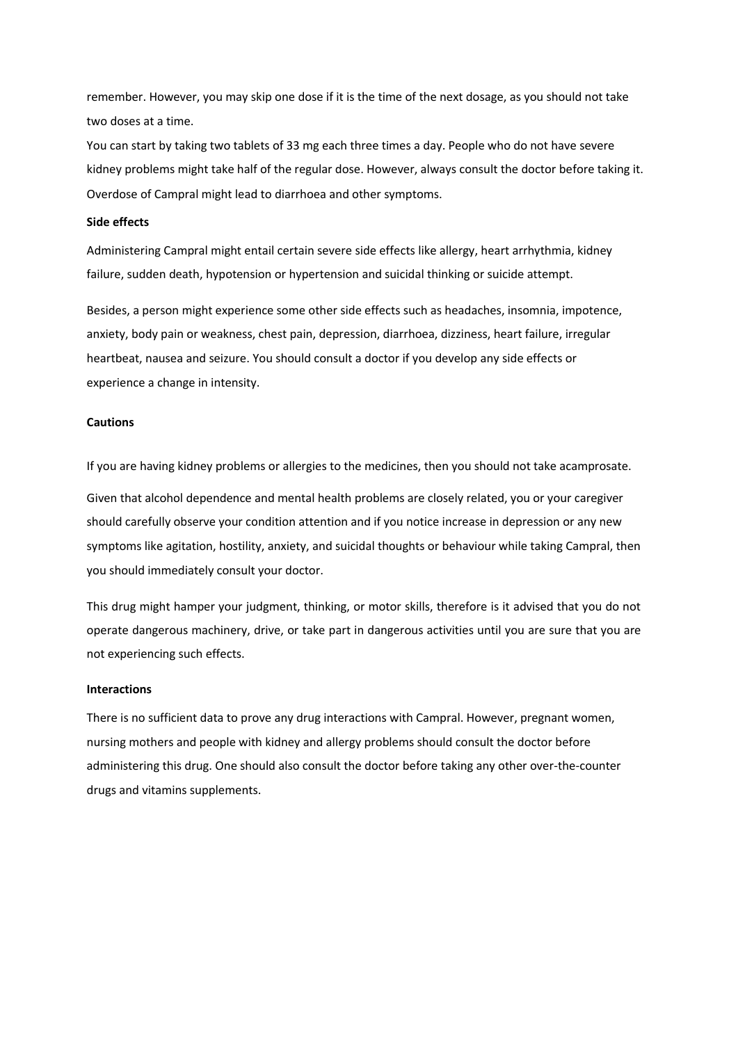remember. However, you may skip one dose if it is the time of the next dosage, as you should not take two doses at a time.

You can start by taking two tablets of 33 mg each three times a day. People who do not have severe kidney problems might take half of the regular dose. However, always consult the doctor before taking it. Overdose of Campral might lead to diarrhoea and other symptoms.

## **Side effects**

Administering Campral might entail certain severe side effects like allergy, heart arrhythmia, kidney failure, sudden death, hypotension or hypertension and suicidal thinking or suicide attempt.

Besides, a person might experience some other side effects such as headaches, insomnia, impotence, anxiety, body pain or weakness, chest pain, depression, diarrhoea, dizziness, heart failure, irregular heartbeat, nausea and seizure. You should consult a doctor if you develop any side effects or experience a change in intensity.

## **Cautions**

If you are having kidney problems or allergies to the medicines, then you should not take acamprosate. Given that alcohol dependence and mental health problems are closely related, you or your caregiver should carefully observe your condition attention and if you notice increase in depression or any new symptoms like agitation, hostility, anxiety, and suicidal thoughts or behaviour while taking Campral, then you should immediately consult your doctor.

This drug might hamper your judgment, thinking, or motor skills, therefore is it advised that you do not operate dangerous machinery, drive, or take part in dangerous activities until you are sure that you are not experiencing such effects.

### **Interactions**

There is no sufficient data to prove any drug interactions with Campral. However, pregnant women, nursing mothers and people with kidney and allergy problems should consult the doctor before administering this drug. One should also consult the doctor before taking any other over-the-counter drugs and vitamins supplements.